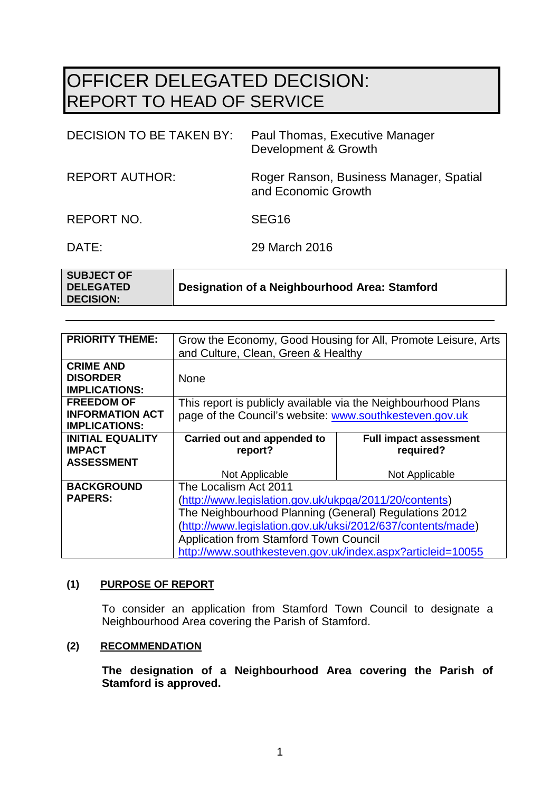# OFFICER DELEGATED DECISION: REPORT TO HEAD OF SERVICE

| DECISION TO BE TAKEN BY: | Paul Thomas, Executive Manager<br>Development & Growth         |
|--------------------------|----------------------------------------------------------------|
| <b>REPORT AUTHOR:</b>    | Roger Ranson, Business Manager, Spatial<br>and Economic Growth |
| REPORT NO.               | SEG <sub>16</sub>                                              |

DATE: 29 March 2016

| <b>SUBJECT OF</b> |                                               |
|-------------------|-----------------------------------------------|
| <b>DELEGATED</b>  | Designation of a Neighbourhood Area: Stamford |
| <b>DECISION:</b>  |                                               |

| <b>PRIORITY THEME:</b>  | Grow the Economy, Good Housing for All, Promote Leisure, Arts |                               |  |
|-------------------------|---------------------------------------------------------------|-------------------------------|--|
|                         | and Culture, Clean, Green & Healthy                           |                               |  |
| <b>CRIME AND</b>        |                                                               |                               |  |
| <b>DISORDER</b>         | <b>None</b>                                                   |                               |  |
| <b>IMPLICATIONS:</b>    |                                                               |                               |  |
| <b>FREEDOM OF</b>       | This report is publicly available via the Neighbourhood Plans |                               |  |
| <b>INFORMATION ACT</b>  | page of the Council's website: www.southkesteven.gov.uk       |                               |  |
| <b>IMPLICATIONS:</b>    |                                                               |                               |  |
| <b>INITIAL EQUALITY</b> | Carried out and appended to                                   | <b>Full impact assessment</b> |  |
| <b>IMPACT</b>           | report?                                                       | required?                     |  |
| <b>ASSESSMENT</b>       |                                                               |                               |  |
|                         | Not Applicable                                                | Not Applicable                |  |
| <b>BACKGROUND</b>       | The Localism Act 2011                                         |                               |  |
| <b>PAPERS:</b>          | (http://www.legislation.gov.uk/ukpga/2011/20/contents)        |                               |  |
|                         | The Neighbourhood Planning (General) Regulations 2012         |                               |  |
|                         | (http://www.legislation.gov.uk/uksi/2012/637/contents/made)   |                               |  |
|                         | <b>Application from Stamford Town Council</b>                 |                               |  |
|                         | http://www.southkesteven.gov.uk/index.aspx?articleid=10055    |                               |  |

#### **(1) PURPOSE OF REPORT**

To consider an application from Stamford Town Council to designate a Neighbourhood Area covering the Parish of Stamford.

### **(2) RECOMMENDATION**

**The designation of a Neighbourhood Area covering the Parish of Stamford is approved.**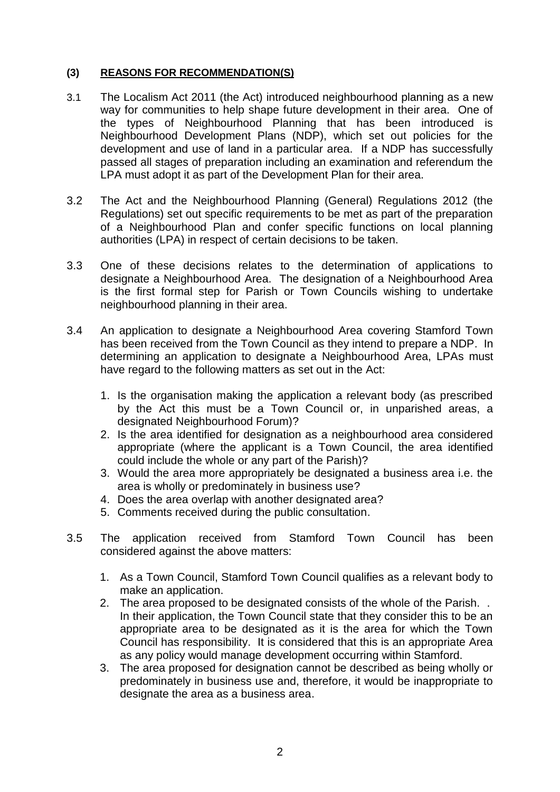#### **(3) REASONS FOR RECOMMENDATION(S)**

- 3.1 The Localism Act 2011 (the Act) introduced neighbourhood planning as a new way for communities to help shape future development in their area. One of the types of Neighbourhood Planning that has been introduced is Neighbourhood Development Plans (NDP), which set out policies for the development and use of land in a particular area. If a NDP has successfully passed all stages of preparation including an examination and referendum the LPA must adopt it as part of the Development Plan for their area.
- 3.2 The Act and the Neighbourhood Planning (General) Regulations 2012 (the Regulations) set out specific requirements to be met as part of the preparation of a Neighbourhood Plan and confer specific functions on local planning authorities (LPA) in respect of certain decisions to be taken.
- 3.3 One of these decisions relates to the determination of applications to designate a Neighbourhood Area. The designation of a Neighbourhood Area is the first formal step for Parish or Town Councils wishing to undertake neighbourhood planning in their area.
- 3.4 An application to designate a Neighbourhood Area covering Stamford Town has been received from the Town Council as they intend to prepare a NDP. In determining an application to designate a Neighbourhood Area, LPAs must have regard to the following matters as set out in the Act:
	- 1. Is the organisation making the application a relevant body (as prescribed by the Act this must be a Town Council or, in unparished areas, a designated Neighbourhood Forum)?
	- 2. Is the area identified for designation as a neighbourhood area considered appropriate (where the applicant is a Town Council, the area identified could include the whole or any part of the Parish)?
	- 3. Would the area more appropriately be designated a business area i.e. the area is wholly or predominately in business use?
	- 4. Does the area overlap with another designated area?
	- 5. Comments received during the public consultation.
- 3.5 The application received from Stamford Town Council has been considered against the above matters:
	- 1. As a Town Council, Stamford Town Council qualifies as a relevant body to make an application.
	- 2. The area proposed to be designated consists of the whole of the Parish. . In their application, the Town Council state that they consider this to be an appropriate area to be designated as it is the area for which the Town Council has responsibility. It is considered that this is an appropriate Area as any policy would manage development occurring within Stamford.
	- 3. The area proposed for designation cannot be described as being wholly or predominately in business use and, therefore, it would be inappropriate to designate the area as a business area.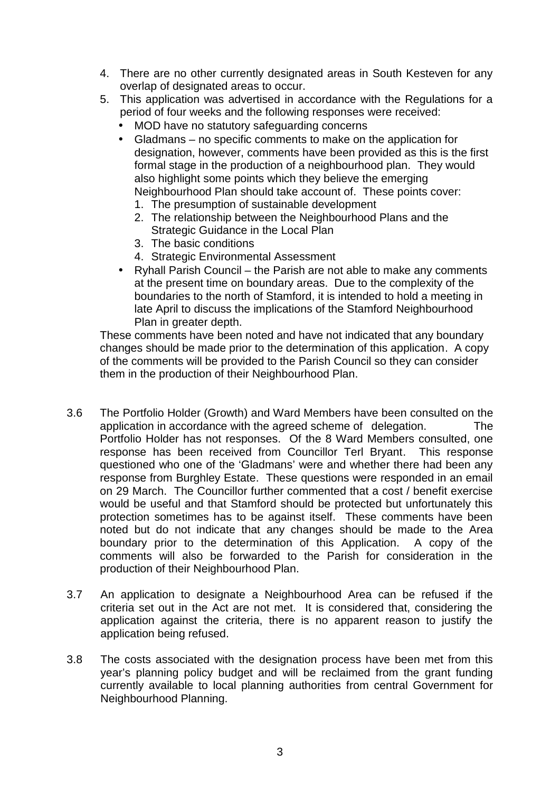- 4. There are no other currently designated areas in South Kesteven for any overlap of designated areas to occur.
- 5. This application was advertised in accordance with the Regulations for a period of four weeks and the following responses were received:
	- MOD have no statutory safeguarding concerns
	- Gladmans no specific comments to make on the application for designation, however, comments have been provided as this is the first formal stage in the production of a neighbourhood plan. They would also highlight some points which they believe the emerging Neighbourhood Plan should take account of. These points cover:
		- 1. The presumption of sustainable development
		- 2. The relationship between the Neighbourhood Plans and the Strategic Guidance in the Local Plan
		- 3. The basic conditions
		- 4. Strategic Environmental Assessment
	- Ryhall Parish Council the Parish are not able to make any comments at the present time on boundary areas. Due to the complexity of the boundaries to the north of Stamford, it is intended to hold a meeting in late April to discuss the implications of the Stamford Neighbourhood Plan in greater depth.

These comments have been noted and have not indicated that any boundary changes should be made prior to the determination of this application. A copy of the comments will be provided to the Parish Council so they can consider them in the production of their Neighbourhood Plan.

- 3.6 The Portfolio Holder (Growth) and Ward Members have been consulted on the application in accordance with the agreed scheme of delegation. The Portfolio Holder has not responses. Of the 8 Ward Members consulted, one response has been received from Councillor Terl Bryant. This response questioned who one of the 'Gladmans' were and whether there had been any response from Burghley Estate. These questions were responded in an email on 29 March. The Councillor further commented that a cost / benefit exercise would be useful and that Stamford should be protected but unfortunately this protection sometimes has to be against itself. These comments have been noted but do not indicate that any changes should be made to the Area boundary prior to the determination of this Application. A copy of the comments will also be forwarded to the Parish for consideration in the production of their Neighbourhood Plan.
- 3.7 An application to designate a Neighbourhood Area can be refused if the criteria set out in the Act are not met. It is considered that, considering the application against the criteria, there is no apparent reason to justify the application being refused.
- 3.8 The costs associated with the designation process have been met from this year's planning policy budget and will be reclaimed from the grant funding currently available to local planning authorities from central Government for Neighbourhood Planning.